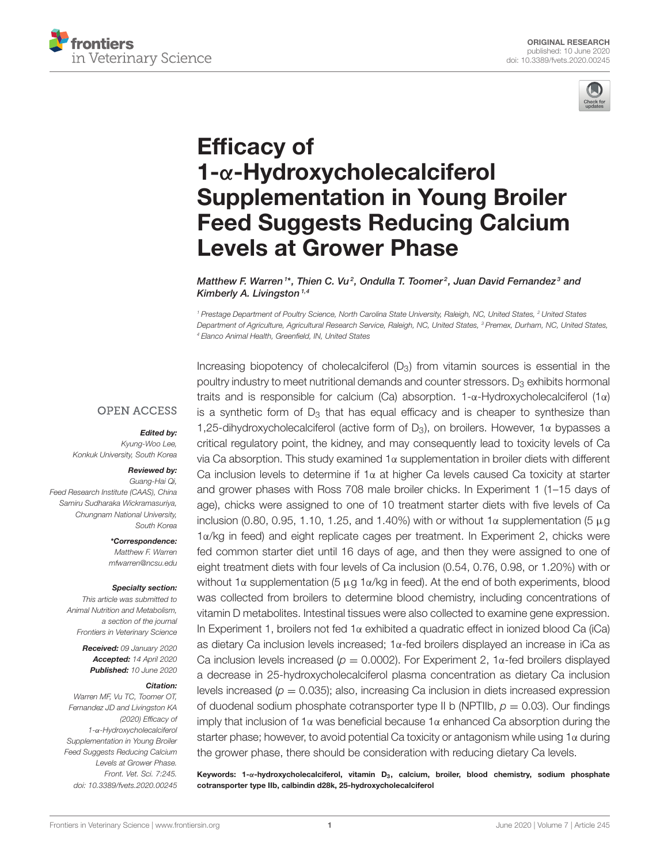



# Efficacy of 1-α-Hydroxycholecalciferol Supplementation in Young Broiler [Feed Suggests Reducing Calcium](https://www.frontiersin.org/articles/10.3389/fvets.2020.00245/full) Levels at Grower Phase

[Matthew F. Warren](http://loop.frontiersin.org/people/853737/overview)  $^{\text{1}*}$ , Thien C. Vu<sup>2</sup>, [Ondulla T. Toomer](http://loop.frontiersin.org/people/884430/overview)<sup>2</sup>, [Juan David Fernandez](http://loop.frontiersin.org/people/983004/overview) $^{\text{3}}$  and [Kimberly A. Livingston](http://loop.frontiersin.org/people/939225/overview)<sup>1,4</sup>

<sup>1</sup> Prestage Department of Poultry Science, North Carolina State University, Raleigh, NC, United States, <sup>2</sup> United States Department of Agriculture, Agricultural Research Service, Raleigh, NC, United States, <sup>3</sup> Premex, Durham, NC, United States, <sup>4</sup> Elanco Animal Health, Greenfield, IN, United States

### **OPEN ACCESS**

#### Edited by:

Kyung-Woo Lee, Konkuk University, South Korea

#### Reviewed by:

Guang-Hai Qi, Feed Research Institute (CAAS), China Samiru Sudharaka Wickramasuriya, Chungnam National University, South Korea

> \*Correspondence: Matthew F. Warren [mfwarren@ncsu.edu](mailto:mfwarren@ncsu.edu)

#### Specialty section:

This article was submitted to Animal Nutrition and Metabolism, a section of the journal Frontiers in Veterinary Science

> Received: 09 January 2020 Accepted: 14 April 2020 Published: 10 June 2020

#### Citation:

Warren MF, Vu TC, Toomer OT, Fernandez JD and Livingston KA (2020) Efficacy of 1-α-Hydroxycholecalciferol Supplementation in Young Broiler Feed Suggests Reducing Calcium Levels at Grower Phase. Front. Vet. Sci. 7:245. doi: [10.3389/fvets.2020.00245](https://doi.org/10.3389/fvets.2020.00245) Increasing biopotency of cholecalciferol  $(D_3)$  from vitamin sources is essential in the poultry industry to meet nutritional demands and counter stressors.  $D_3$  exhibits hormonal traits and is responsible for calcium (Ca) absorption. 1-α-Hydroxycholecalciferol (1α) is a synthetic form of  $D_3$  that has equal efficacy and is cheaper to synthesize than 1,25-dihydroxycholecalciferol (active form of  $D_3$ ), on broilers. However, 1 $\alpha$  bypasses a critical regulatory point, the kidney, and may consequently lead to toxicity levels of Ca via Ca absorption. This study examined 1α supplementation in broiler diets with different Ca inclusion levels to determine if  $1\alpha$  at higher Ca levels caused Ca toxicity at starter and grower phases with Ross 708 male broiler chicks. In Experiment 1 (1–15 days of age), chicks were assigned to one of 10 treatment starter diets with five levels of Ca inclusion (0.80, 0.95, 1.10, 1.25, and 1.40%) with or without 1 $\alpha$  supplementation (5  $\mu$ g 1α/kg in feed) and eight replicate cages per treatment. In Experiment 2, chicks were fed common starter diet until 16 days of age, and then they were assigned to one of eight treatment diets with four levels of Ca inclusion (0.54, 0.76, 0.98, or 1.20%) with or without 1α supplementation (5 μg 1α/kg in feed). At the end of both experiments, blood was collected from broilers to determine blood chemistry, including concentrations of vitamin D metabolites. Intestinal tissues were also collected to examine gene expression. In Experiment 1, broilers not fed 1α exhibited a quadratic effect in ionized blood Ca (iCa) as dietary Ca inclusion levels increased; 1α-fed broilers displayed an increase in iCa as Ca inclusion levels increased ( $p = 0.0002$ ). For Experiment 2, 1 $\alpha$ -fed broilers displayed a decrease in 25-hydroxycholecalciferol plasma concentration as dietary Ca inclusion levels increased ( $p = 0.035$ ); also, increasing Ca inclusion in diets increased expression of duodenal sodium phosphate cotransporter type II b (NPTIIb,  $p = 0.03$ ). Our findings imply that inclusion of 1 $\alpha$  was beneficial because 1 $\alpha$  enhanced Ca absorption during the starter phase; however, to avoid potential Ca toxicity or antagonism while using 1 $\alpha$  during the grower phase, there should be consideration with reducing dietary Ca levels.

Keywords: 1-α-hydroxycholecalciferol, vitamin D<sub>3</sub>, calcium, broiler, blood chemistry, sodium phosphate cotransporter type IIb, calbindin d28k, 25-hydroxycholecalciferol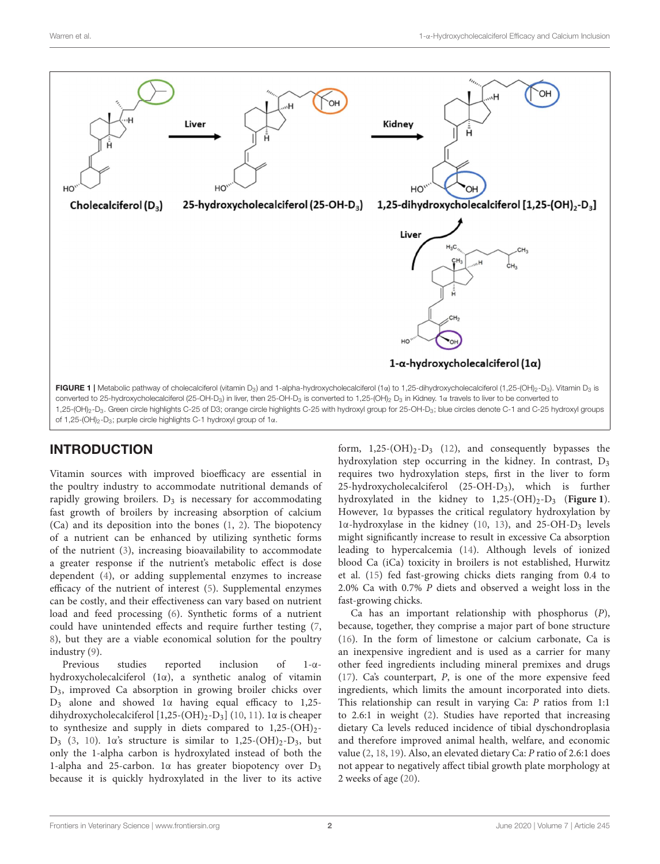

<span id="page-1-0"></span>INTRODUCTION

Vitamin sources with improved bioefficacy are essential in the poultry industry to accommodate nutritional demands of rapidly growing broilers.  $D_3$  is necessary for accommodating fast growth of broilers by increasing absorption of calcium (Ca) and its deposition into the bones [\(1,](#page-9-0) [2\)](#page-9-1). The biopotency of a nutrient can be enhanced by utilizing synthetic forms of the nutrient [\(3\)](#page-9-2), increasing bioavailability to accommodate a greater response if the nutrient's metabolic effect is dose dependent [\(4\)](#page-10-0), or adding supplemental enzymes to increase efficacy of the nutrient of interest [\(5\)](#page-10-1). Supplemental enzymes can be costly, and their effectiveness can vary based on nutrient load and feed processing [\(6\)](#page-10-2). Synthetic forms of a nutrient could have unintended effects and require further testing [\(7,](#page-10-3) [8\)](#page-10-4), but they are a viable economical solution for the poultry industry [\(9\)](#page-10-5).

Previous studies reported inclusion of 1-αhydroxycholecalciferol (1α), a synthetic analog of vitamin D3, improved Ca absorption in growing broiler chicks over D<sup>3</sup> alone and showed 1α having equal efficacy to 1,25 dihydroxycholecalciferol  $[1,25-(OH)_2-D_3]$  [\(10,](#page-10-6) [11\)](#page-10-7). 1α is cheaper to synthesize and supply in diets compared to  $1,25-(OH)_{2}$ -D<sub>3</sub> [\(3,](#page-9-2) [10\)](#page-10-6). 1α's structure is similar to 1,25-(OH)<sub>2</sub>-D<sub>3</sub>, but only the 1-alpha carbon is hydroxylated instead of both the 1-alpha and 25-carbon. 1α has greater biopotency over D<sup>3</sup> because it is quickly hydroxylated in the liver to its active form,  $1,25-(OH)_2-D_3$  [\(12\)](#page-10-8), and consequently bypasses the hydroxylation step occurring in the kidney. In contrast, D<sup>3</sup> requires two hydroxylation steps, first in the liver to form 25-hydroxycholecalciferol (25-OH-D3), which is further hydroxylated in the kidney to 1,25-(OH)<sub>2</sub>-D<sub>3</sub> (**[Figure 1](#page-1-0)**). However, 1α bypasses the critical regulatory hydroxylation by  $1α$ -hydroxylase in the kidney [\(10,](#page-10-6) [13\)](#page-10-9), and 25-OH-D<sub>3</sub> levels might significantly increase to result in excessive Ca absorption leading to hypercalcemia [\(14\)](#page-10-10). Although levels of ionized blood Ca (iCa) toxicity in broilers is not established, Hurwitz et al. [\(15\)](#page-10-11) fed fast-growing chicks diets ranging from 0.4 to 2.0% Ca with 0.7% P diets and observed a weight loss in the fast-growing chicks.

Ca has an important relationship with phosphorus (P), because, together, they comprise a major part of bone structure [\(16\)](#page-10-12). In the form of limestone or calcium carbonate, Ca is an inexpensive ingredient and is used as a carrier for many other feed ingredients including mineral premixes and drugs [\(17\)](#page-10-13). Ca's counterpart, P, is one of the more expensive feed ingredients, which limits the amount incorporated into diets. This relationship can result in varying Ca: P ratios from 1:1 to 2.6:1 in weight [\(2\)](#page-9-1). Studies have reported that increasing dietary Ca levels reduced incidence of tibial dyschondroplasia and therefore improved animal health, welfare, and economic value [\(2,](#page-9-1) [18,](#page-10-14) [19\)](#page-10-15). Also, an elevated dietary Ca: P ratio of 2.6:1 does not appear to negatively affect tibial growth plate morphology at 2 weeks of age [\(20\)](#page-10-16).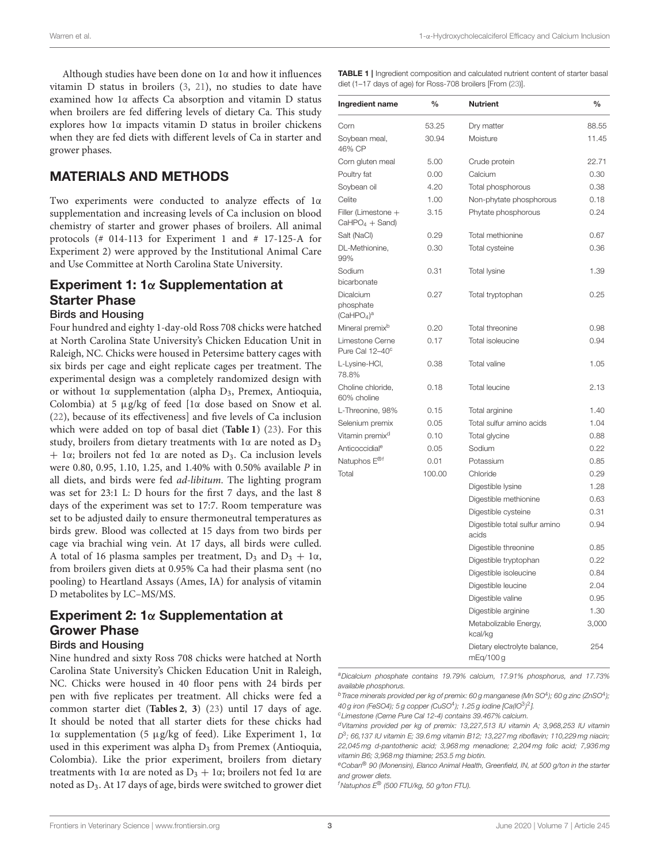Although studies have been done on 1α and how it influences vitamin D status in broilers [\(3,](#page-9-2) [21\)](#page-10-17), no studies to date have examined how 1α affects Ca absorption and vitamin D status when broilers are fed differing levels of dietary Ca. This study explores how 1α impacts vitamin D status in broiler chickens when they are fed diets with different levels of Ca in starter and grower phases.

## MATERIALS AND METHODS

Two experiments were conducted to analyze effects of 1α supplementation and increasing levels of Ca inclusion on blood chemistry of starter and grower phases of broilers. All animal protocols (# 014-113 for Experiment 1 and # 17-125-A for Experiment 2) were approved by the Institutional Animal Care and Use Committee at North Carolina State University.

#### Experiment 1: 1α Supplementation at Starter Phase Birds and Housing

Four hundred and eighty 1-day-old Ross 708 chicks were hatched at North Carolina State University's Chicken Education Unit in Raleigh, NC. Chicks were housed in Petersime battery cages with six birds per cage and eight replicate cages per treatment. The experimental design was a completely randomized design with or without 1α supplementation (alpha D3, Premex, Antioquia, Colombia) at 5 µg/kg of feed [1α dose based on Snow et al. [\(22\)](#page-10-18), because of its effectiveness] and five levels of Ca inclusion which were added on top of basal diet (**[Table 1](#page-2-0)**) [\(23\)](#page-10-19). For this study, broilers from dietary treatments with 1α are noted as D<sup>3</sup>  $+ 1\alpha$ ; broilers not fed 1 $\alpha$  are noted as D<sub>3</sub>. Ca inclusion levels were 0.80, 0.95, 1.10, 1.25, and 1.40% with 0.50% available P in all diets, and birds were fed ad-libitum. The lighting program was set for 23:1 L: D hours for the first 7 days, and the last 8 days of the experiment was set to 17:7. Room temperature was set to be adjusted daily to ensure thermoneutral temperatures as birds grew. Blood was collected at 15 days from two birds per cage via brachial wing vein. At 17 days, all birds were culled. A total of 16 plasma samples per treatment,  $D_3$  and  $D_3 + 1\alpha$ , from broilers given diets at 0.95% Ca had their plasma sent (no pooling) to Heartland Assays (Ames, IA) for analysis of vitamin D metabolites by LC–MS/MS.

# Experiment 2:  $1\alpha$  Supplementation at Grower Phase

#### Birds and Housing

Nine hundred and sixty Ross 708 chicks were hatched at North Carolina State University's Chicken Education Unit in Raleigh, NC. Chicks were housed in 40 floor pens with 24 birds per pen with five replicates per treatment. All chicks were fed a common starter diet (**[Tables 2](#page-3-0)**, **[3](#page-3-1)**) [\(23\)](#page-10-19) until 17 days of age. It should be noted that all starter diets for these chicks had 1α supplementation (5 µg/kg of feed). Like Experiment 1, 1α used in this experiment was alpha  $D_3$  from Premex (Antioquia, Colombia). Like the prior experiment, broilers from dietary treatments with 1 $\alpha$  are noted as  $D_3 + 1\alpha$ ; broilers not fed 1 $\alpha$  are noted as D3. At 17 days of age, birds were switched to grower diet

<span id="page-2-0"></span>TABLE 1 | Ingredient composition and calculated nutrient content of starter basal diet (1–17 days of age) for Ross-708 broilers [From [\(23\)](#page-10-19)].

| Ingredient name                                                     | $\frac{0}{0}$ | <b>Nutrient</b>                           | $\frac{0}{0}$ |
|---------------------------------------------------------------------|---------------|-------------------------------------------|---------------|
| Corn                                                                | 53.25         | Dry matter                                | 88.55         |
| Soybean meal,<br>46% CP                                             | 30.94         | Moisture                                  | 11.45         |
| Corn gluten meal                                                    | 5.00          | Crude protein                             | 22.71         |
| Poultry fat                                                         | 0.00          | Calcium                                   | 0.30          |
| Soybean oil                                                         | 4.20          | Total phosphorous                         | 0.38          |
| Celite                                                              | 1.00          | Non-phytate phosphorous                   | 0.18          |
| Filler (Limestone +<br>$CaHPO4 + Sand)$                             | 3.15          | Phytate phosphorous                       | 0.24          |
| Salt (NaCl)                                                         | 0.29          | Total methionine                          | 0.67          |
| DL-Methionine,<br>99%                                               | 0.30          | Total cysteine                            | 0.36          |
| Sodium<br>bicarbonate                                               | 0.31          | <b>Total lysine</b>                       | 1.39          |
| <b>Dicalcium</b><br>phosphate<br>(CaHPO <sub>4</sub> ) <sup>a</sup> | 0.27          | Total tryptophan                          | 0.25          |
| Mineral premix <sup>b</sup>                                         | 0.20          | Total threonine                           | 0.98          |
| Limestone Cerne<br>Pure Cal 12-40°                                  | 0.17          | Total isoleucine                          | 0.94          |
| L-Lysine-HCI,<br>78.8%                                              | 0.38          | Total valine                              | 1.05          |
| Choline chloride,<br>60% choline                                    | 0.18          | <b>Total leucine</b>                      | 2.13          |
| L-Threonine, 98%                                                    | 0.15          | Total arginine                            | 1.40          |
| Selenium premix                                                     | 0.05          | Total sulfur amino acids                  | 1.04          |
| Vitamin premix <sup>d</sup>                                         | 0.10          | Total glycine                             | 0.88          |
| Anticoccidial <sup>e</sup>                                          | 0.05          | Sodium                                    | 0.22          |
| Natuphos E <sup>®f</sup>                                            | 0.01          | Potassium                                 | 0.85          |
| Total                                                               | 100.00        | Chloride                                  | 0.29          |
|                                                                     |               | Digestible lysine                         | 1.28          |
|                                                                     |               | Digestible methionine                     | 0.63          |
|                                                                     |               | Digestible cysteine                       | 0.31          |
|                                                                     |               | Digestible total sulfur amino<br>acids    | 0.94          |
|                                                                     |               | Digestible threonine                      | 0.85          |
|                                                                     |               | Digestible tryptophan                     | 0.22          |
|                                                                     |               | Digestible isoleucine                     | 0.84          |
|                                                                     |               | Digestible leucine                        | 2.04          |
|                                                                     |               | Digestible valine                         | 0.95          |
|                                                                     |               | Digestible arginine                       | 1.30          |
|                                                                     |               | Metabolizable Energy,<br>kcal/kg          | 3,000         |
|                                                                     |               | Dietary electrolyte balance,<br>mEg/100 g | 254           |

<sup>a</sup>Dicalcium phosphate contains 19.79% calcium, 17.91% phosphorus, and 17.73% available phosphorus.

 $^{\rm b}$ Trace minerals provided per kg of premix: 60 g manganese (Mn SO $^{\rm 4}$ ); 60 g zinc (ZnSO $^{\rm 4}$ ); 40 g iron (FeSO4); 5 g copper (CuSO<sup>4</sup>); 1.25 g iodine [Ca(IO $3$ )<sup>2</sup>].

<sup>c</sup>Limestone (Cerne Pure Cal 12-4) contains 39.467% calcium.

 $f$ Natuphos  $E^{\otimes}$  (500 FTU/kg, 50 g/ton FTU).

<sup>d</sup>Vitamins provided per kg of premix: 13,227,513 IU vitamin A; 3,968,253 IU vitamin D<sup>3</sup>; 66,137 IU vitamin E; 39.6 mg vitamin B12; 13,227 mg riboflavin; 110,229 mg niacin; 22,045 mg d-pantothenic acid; 3,968 mg menadione; 2,204 mg folic acid; 7,936 mg vitamin B6; 3,968 mg thiamine; 253.5 mg biotin.

eCoban<sup>®</sup> 90 (Monensin), Elanco Animal Health, Greenfield, IN, at 500 g/ton in the starter and grower diets.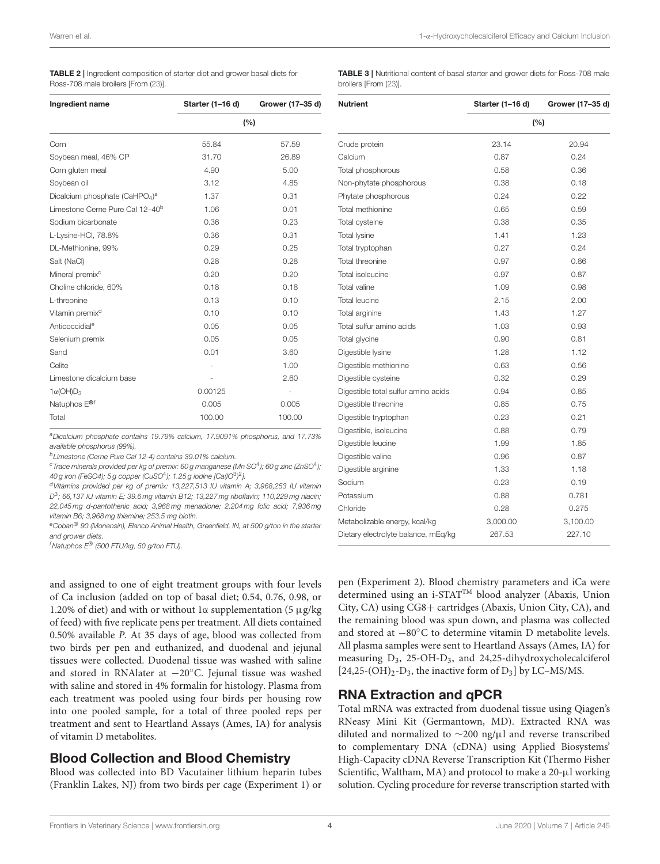<span id="page-3-0"></span>

| <b>TABLE 2</b>   Ingredient composition of starter diet and grower basal diets for |  |
|------------------------------------------------------------------------------------|--|
| Ross-708 male broilers [From (23)].                                                |  |

<span id="page-3-1"></span>TABLE 3 | Nutritional content of basal starter and grower diets for Ross-708 male broilers [From [\(23\)](#page-10-19)].

| Ingredient name                                        | Starter (1-16 d) | Grower (17-35 d) |  |
|--------------------------------------------------------|------------------|------------------|--|
|                                                        | (%)              |                  |  |
| Corn                                                   | 55.84            | 57.59            |  |
| Soybean meal, 46% CP                                   | 31.70            | 26.89            |  |
| Corn gluten meal                                       | 4.90             | 5.00             |  |
| Soybean oil                                            | 3.12             | 4.85             |  |
| Dicalcium phosphate (CaHPO <sub>4</sub> ) <sup>a</sup> | 1.37             | 0.31             |  |
| Limestone Cerne Pure Cal 12-40 <sup>b</sup>            | 1.06             | 0.01             |  |
| Sodium bicarbonate                                     | 0.36             | 0.23             |  |
| L-Lysine-HCl, 78.8%                                    | 0.36             | 0.31             |  |
| DL-Methionine, 99%                                     | 0.29             | 0.25             |  |
| Salt (NaCl)                                            | 0.28             | 0.28             |  |
| Mineral premix <sup>c</sup>                            | 0.20             | 0.20             |  |
| Choline chloride, 60%                                  | 0.18             | 0.18             |  |
| L-threonine                                            | 0.13             | 0.10             |  |
| Vitamin premix <sup>d</sup>                            | 0.10             | 0.10             |  |
| Anticoccidial <sup>e</sup>                             | 0.05             | 0.05             |  |
| Selenium premix                                        | 0.05             | 0.05             |  |
| Sand                                                   | 0.01             | 3.60             |  |
| Celite                                                 |                  | 1.00             |  |
| Limestone dicalcium base                               |                  | 2.60             |  |
| $1\alpha$ (OH) $D_3$                                   | 0.00125          |                  |  |
| Natuphos E <sup>®f</sup>                               | 0.005            | 0.005            |  |
| Total                                                  | 100.00           | 100.00           |  |

<sup>a</sup>Dicalcium phosphate contains 19.79% calcium, 17.9091% phosphorus, and 17.73% available phosphorus (99%).

<sup>b</sup>Limestone (Cerne Pure Cal 12-4) contains 39.01% calcium.

 $^{\rm c}$ Trace minerals provided per kg of premix: 60 g manganese (Mn SO $^{\rm 4}$ ); 60 g zinc (ZnSO $^{\rm 4}$ ); 40 g iron (FeSO4); 5 g copper (CuSO $4$ ); 1.25 g iodine [Ca(IO $^{3})^{2}$ ].

<sup>d</sup>Vitamins provided per kg of premix: 13,227,513 IU vitamin A; 3,968,253 IU vitamin D<sup>3</sup>; 66,137 IU vitamin E; 39.6 mg vitamin B12; 13,227 mg riboflavin; 110,229 mg niacin; 22,045 mg d-pantothenic acid; 3,968 mg menadione; 2,204 mg folic acid; 7,936 mg vitamin B6; 3,968 mg thiamine; 253.5 mg biotin.

eCoban<sup>®</sup> 90 (Monensin), Elanco Animal Health, Greenfield, IN, at 500 g/ton in the starter and grower diets.

 $<sup>f</sup>$ Natuphos  $E<sup>®</sup>$  (500 FTU/kg, 50 g/ton FTU).</sup>

and assigned to one of eight treatment groups with four levels of Ca inclusion (added on top of basal diet; 0.54, 0.76, 0.98, or 1.20% of diet) and with or without 1α supplementation (5  $\mu$ g/kg of feed) with five replicate pens per treatment. All diets contained 0.50% available P. At 35 days of age, blood was collected from two birds per pen and euthanized, and duodenal and jejunal tissues were collected. Duodenal tissue was washed with saline and stored in RNAlater at −20◦C. Jejunal tissue was washed with saline and stored in 4% formalin for histology. Plasma from each treatment was pooled using four birds per housing row into one pooled sample, for a total of three pooled reps per treatment and sent to Heartland Assays (Ames, IA) for analysis of vitamin D metabolites.

### Blood Collection and Blood Chemistry

Blood was collected into BD Vacutainer lithium heparin tubes (Franklin Lakes, NJ) from two birds per cage (Experiment 1) or

| <b>Nutrient</b>                     | Starter (1-16 d) | Grower (17-35 d) |
|-------------------------------------|------------------|------------------|
|                                     | (%)              |                  |
| Crude protein                       | 23.14            | 20.94            |
| Calcium                             | 0.87             | 0.24             |
| Total phosphorous                   | 0.58             | 0.36             |
| Non-phytate phosphorous             | 0.38             | 0.18             |
| Phytate phosphorous                 | 0.24             | 0.22             |
| Total methionine                    | 0.65             | 0.59             |
| Total cysteine                      | 0.38             | 0.35             |
| <b>Total lysine</b>                 | 1.41             | 1.23             |
| Total tryptophan                    | 0.27             | 0.24             |
| Total threonine                     | 0.97             | 0.86             |
| Total isoleucine                    | 0.97             | 0.87             |
| Total valine                        | 1.09             | 0.98             |
| <b>Total leucine</b>                | 2.15             | 2.00             |
| Total arginine                      | 1.43             | 1.27             |
| Total sulfur amino acids            | 1.03             | 0.93             |
| Total glycine                       | 0.90             | 0.81             |
| Digestible lysine                   | 1.28             | 1.12             |
| Digestible methionine               | 0.63             | 0.56             |
| Digestible cysteine                 | 0.32             | 0.29             |
| Digestible total sulfur amino acids | 0.94             | 0.85             |
| Digestible threonine                | 0.85             | 0.75             |
| Digestible tryptophan               | 0.23             | 0.21             |
| Digestible, isoleucine              | 0.88             | 0.79             |
| Digestible leucine                  | 1.99             | 1.85             |
| Digestible valine                   | 0.96             | 0.87             |
| Digestible arginine                 | 1.33             | 1.18             |
| Sodium                              | 0.23             | 0.19             |
| Potassium                           | 0.88             | 0.781            |
| Chloride                            | 0.28             | 0.275            |
| Metabolizable energy, kcal/kg       | 3,000.00         | 3,100.00         |
| Dietary electrolyte balance, mEq/kg | 267.53           | 227.10           |

pen (Experiment 2). Blood chemistry parameters and iCa were determined using an i-STAT<sup>TM</sup> blood analyzer (Abaxis, Union City, CA) using CG8+ cartridges (Abaxis, Union City, CA), and the remaining blood was spun down, and plasma was collected and stored at −80◦C to determine vitamin D metabolite levels. All plasma samples were sent to Heartland Assays (Ames, IA) for measuring D3, 25-OH-D3, and 24,25-dihydroxycholecalciferol  $[24,25-(OH)_{2}$ -D<sub>3</sub>, the inactive form of D<sub>3</sub>] by LC–MS/MS.

## RNA Extraction and qPCR

Total mRNA was extracted from duodenal tissue using Qiagen's RNeasy Mini Kit (Germantown, MD). Extracted RNA was diluted and normalized to ∼200 ng/µl and reverse transcribed to complementary DNA (cDNA) using Applied Biosystems' High-Capacity cDNA Reverse Transcription Kit (Thermo Fisher Scientific, Waltham, MA) and protocol to make a 20-µl working solution. Cycling procedure for reverse transcription started with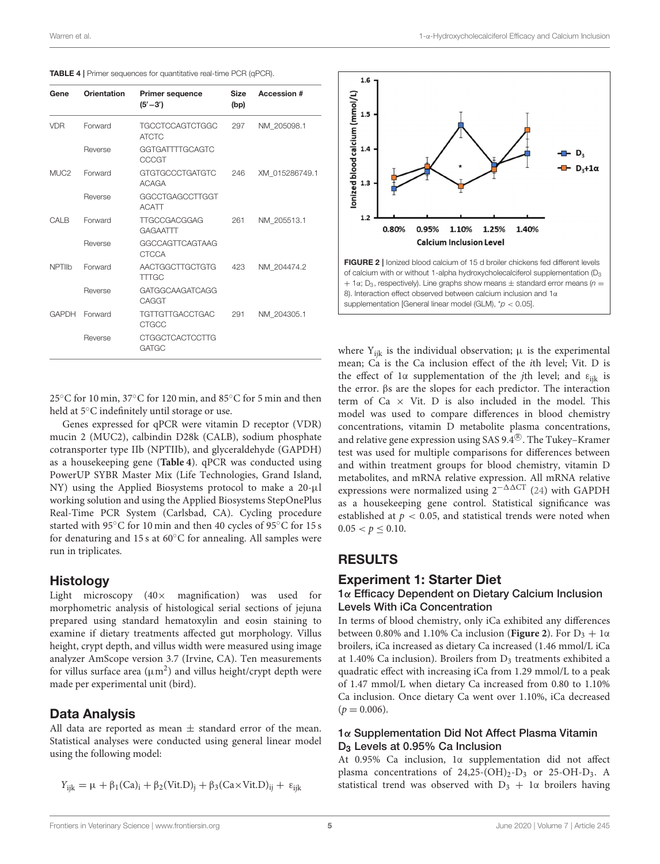<span id="page-4-0"></span>

|  |  |  | <b>TABLE 4</b>   Primer sequences for quantitative real-time PCR (qPCR). |
|--|--|--|--------------------------------------------------------------------------|
|--|--|--|--------------------------------------------------------------------------|

| Gene             | <b>Orientation</b> | <b>Primer sequence</b><br>$(5' - 3')$  | <b>Size</b><br>(bp) | Accession #    |
|------------------|--------------------|----------------------------------------|---------------------|----------------|
| <b>VDR</b>       | Forward            | <b>TGCCTCCAGTCTGGC</b><br><b>ATCTC</b> | 297                 | NM_205098.1    |
|                  | Reverse            | GGTGATTTTGCAGTC<br>CCCGT               |                     |                |
| MUC <sub>2</sub> | Forward            | <b>GTGTGCCCTGATGTC</b><br><b>ACAGA</b> | 246                 | XM_015286749.1 |
|                  | Reverse            | GGCCTGAGCCTTGGT<br><b>ACATT</b>        |                     |                |
| CALB             | Forward            | <b>TTGCCGACGGAG</b><br>GAGAATTT        | 261                 | NM 205513.1    |
|                  | Reverse            | GGCCAGTTCAGTAAG<br><b>CTCCA</b>        |                     |                |
| <b>NPTIIb</b>    | Forward            | AACTGGCTTGCTGTG<br><b>TTTGC</b>        | 423                 | NM 204474.2    |
|                  | Reverse            | GATGGCAAGATCAGG<br>CAGGT               |                     |                |
| <b>GAPDH</b>     | Forward            | <b>TGTTGTTGACCTGAC</b><br>CTGCC        | 291                 | NM 204305.1    |
|                  | Reverse            | <b>CTGGCTCACTCCTTG</b><br><b>GATGC</b> |                     |                |

25◦C for 10 min, 37◦C for 120 min, and 85◦C for 5 min and then held at 5◦C indefinitely until storage or use.

Genes expressed for qPCR were vitamin D receptor (VDR) mucin 2 (MUC2), calbindin D28k (CALB), sodium phosphate cotransporter type IIb (NPTIIb), and glyceraldehyde (GAPDH) as a housekeeping gene (**[Table 4](#page-4-0)**). qPCR was conducted using PowerUP SYBR Master Mix (Life Technologies, Grand Island, NY) using the Applied Biosystems protocol to make a 20-µl working solution and using the Applied Biosystems StepOnePlus Real-Time PCR System (Carlsbad, CA). Cycling procedure started with 95◦C for 10 min and then 40 cycles of 95◦C for 15 s for denaturing and 15 s at  $60^{\circ}$ C for annealing. All samples were run in triplicates.

### Histology

Light microscopy  $(40 \times$  magnification) was used for morphometric analysis of histological serial sections of jejuna prepared using standard hematoxylin and eosin staining to examine if dietary treatments affected gut morphology. Villus height, crypt depth, and villus width were measured using image analyzer AmScope version 3.7 (Irvine, CA). Ten measurements for villus surface area ( $\mu$ m<sup>2</sup>) and villus height/crypt depth were made per experimental unit (bird).

## Data Analysis

All data are reported as mean  $\pm$  standard error of the mean. Statistical analyses were conducted using general linear model using the following model:

$$
Y_{ijk} = \mu + \beta_1(Ca)_i + \beta_2(Vit.D)_j + \beta_3(Ca \times Vit.D)_{ij} + \epsilon_{ijk}
$$



<span id="page-4-1"></span>where  $Y_{ijk}$  is the individual observation;  $\mu$  is the experimental mean; Ca is the Ca inclusion effect of the ith level; Vit. D is the effect of 1α supplementation of the *j*th level; and  $\varepsilon_{ijk}$  is the error. βs are the slopes for each predictor. The interaction term of  $Ca \times$  Vit. D is also included in the model. This model was used to compare differences in blood chemistry concentrations, vitamin D metabolite plasma concentrations, and relative gene expression using SAS 9.4 $^{\circledR}$ . The Tukey–Kramer test was used for multiple comparisons for differences between and within treatment groups for blood chemistry, vitamin D metabolites, and mRNA relative expression. All mRNA relative expressions were normalized using  $2^{-\Delta\Delta CT}$  [\(24\)](#page-10-20) with GAPDH as a housekeeping gene control. Statistical significance was established at  $p < 0.05$ , and statistical trends were noted when  $0.05 < p \leq 0.10$ .

## RESULTS

### Experiment 1: Starter Diet

#### 1α Efficacy Dependent on Dietary Calcium Inclusion Levels With iCa Concentration

In terms of blood chemistry, only iCa exhibited any differences between 0.80% and 1.10% Ca inclusion (**[Figure 2](#page-4-1)**). For  $D_3 + 1\alpha$ broilers, iCa increased as dietary Ca increased (1.46 mmol/L iCa at 1.40% Ca inclusion). Broilers from  $D_3$  treatments exhibited a quadratic effect with increasing iCa from 1.29 mmol/L to a peak of 1.47 mmol/L when dietary Ca increased from 0.80 to 1.10% Ca inclusion. Once dietary Ca went over 1.10%, iCa decreased  $(p = 0.006)$ .

#### 1α Supplementation Did Not Affect Plasma Vitamin D<sub>3</sub> Levels at 0.95% Ca Inclusion

At 0.95% Ca inclusion, 1α supplementation did not affect plasma concentrations of  $24,25-(OH)_2-D_3$  or  $25-OH-D_3$ . A statistical trend was observed with  $D_3 + 1\alpha$  broilers having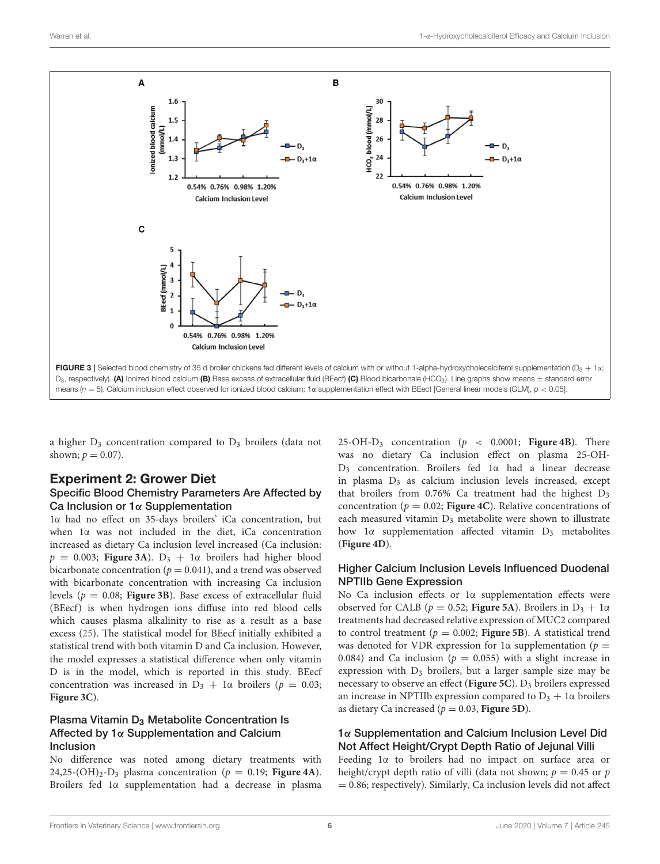

<span id="page-5-0"></span>a higher D<sub>3</sub> concentration compared to D<sub>3</sub> broilers (data not shown;  $p = 0.07$ ).

# Experiment 2: Grower Diet

#### Specific Blood Chemistry Parameters Are Affected by Ca Inclusion or 1α Supplementation

1α had no effect on 35-days broilers' iCa concentration, but when 1α was not included in the diet, iCa concentration increased as dietary Ca inclusion level increased (Ca inclusion:  $p = 0.003$ ; **[Figure 3A](#page-5-0)**).  $D_3 + 1\alpha$  broilers had higher blood bicarbonate concentration ( $p = 0.041$ ), and a trend was observed with bicarbonate concentration with increasing Ca inclusion levels ( $p = 0.08$ ; **[Figure 3B](#page-5-0)**). Base excess of extracellular fluid (BEecf) is when hydrogen ions diffuse into red blood cells which causes plasma alkalinity to rise as a result as a base excess [\(25\)](#page-10-21). The statistical model for BEecf initially exhibited a statistical trend with both vitamin D and Ca inclusion. However, the model expresses a statistical difference when only vitamin D is in the model, which is reported in this study. BEecf concentration was increased in  $D_3 + 1\alpha$  broilers ( $p = 0.03$ ; **[Figure 3C](#page-5-0)**).

#### Plasma Vitamin D<sub>3</sub> Metabolite Concentration Is Affected by 1α Supplementation and Calcium Inclusion

No difference was noted among dietary treatments with 24,25-(OH)<sub>2</sub>-D<sub>3</sub> plasma concentration ( $p = 0.19$ ; **[Figure 4A](#page-6-0)**). Broilers fed 1α supplementation had a decrease in plasma 25-OH-D<sub>3</sub> concentration ( $p < 0.0001$ ; [Figure 4B](#page-6-0)). There was no dietary Ca inclusion effect on plasma 25-OH-D<sup>3</sup> concentration. Broilers fed 1α had a linear decrease in plasma  $D_3$  as calcium inclusion levels increased, except that broilers from  $0.76\%$  Ca treatment had the highest  $D_3$ concentration ( $p = 0.02$ ; **[Figure 4C](#page-6-0)**). Relative concentrations of each measured vitamin D<sub>3</sub> metabolite were shown to illustrate how 1α supplementation affected vitamin D<sup>3</sup> metabolites (**[Figure 4D](#page-6-0)**).

#### Higher Calcium Inclusion Levels Influenced Duodenal NPTIIb Gene Expression

No Ca inclusion effects or 1α supplementation effects were observed for CALB ( $p = 0.52$ ; **[Figure 5A](#page-6-1)**). Broilers in  $D_3 + 1\alpha$ treatments had decreased relative expression of MUC2 compared to control treatment ( $p = 0.002$ ; **[Figure 5B](#page-6-1)**). A statistical trend was denoted for VDR expression for 1 $\alpha$  supplementation ( $p =$ 0.084) and Ca inclusion ( $p = 0.055$ ) with a slight increase in expression with  $D_3$  broilers, but a larger sample size may be necessary to observe an effect ([Figure 5C](#page-6-1)). D<sub>3</sub> broilers expressed an increase in NPTIIb expression compared to  $D_3 + 1\alpha$  broilers as dietary Ca increased ( $p = 0.03$ , **[Figure 5D](#page-6-1)**).

### 1α Supplementation and Calcium Inclusion Level Did Not Affect Height/Crypt Depth Ratio of Jejunal Villi

Feeding 1α to broilers had no impact on surface area or height/crypt depth ratio of villi (data not shown;  $p = 0.45$  or  $p$  $= 0.86$ ; respectively). Similarly, Ca inclusion levels did not affect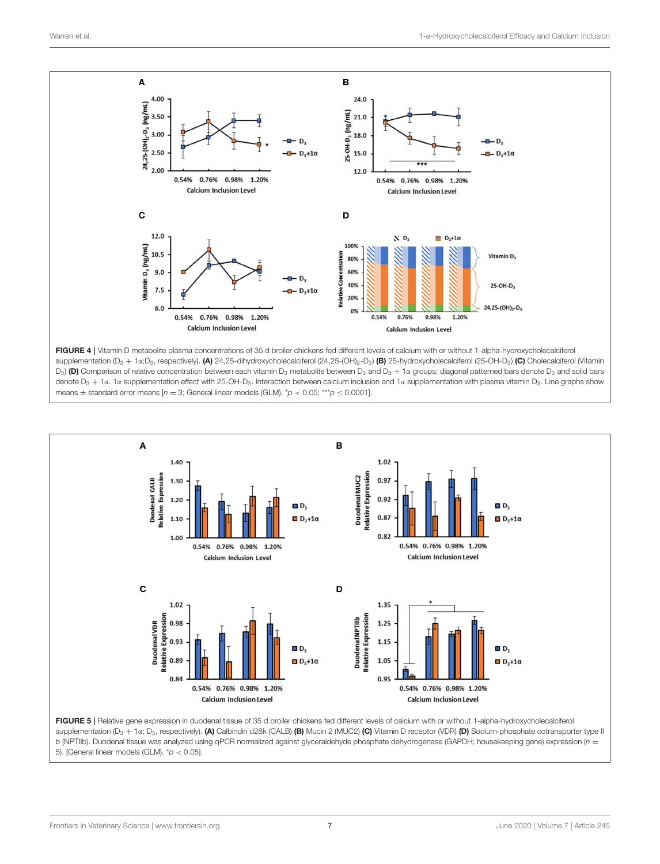

<span id="page-6-0"></span>FIGURE 4 | Vitamin D metabolite plasma concentrations of 35 d broiler chickens fed different levels of calcium with or without 1-alpha-hydroxycholecalciferol supplementation (D<sub>3</sub> + 1α;D<sub>3</sub>, respectively). (A) 24,25-dihydroxycholecalciferol (24,25-(OH)<sub>2</sub>-D<sub>3</sub>) (B) 25-hydroxycholecalciferol (25-OH-D<sub>3</sub>) (C) Cholecalciferol (Vitamin  $D_3$ ) (D) Comparison of relative concentration between each vitamin  $D_3$  metabolite between  $D_3$  and  $D_3 + 1\alpha$  groups; diagonal patterned bars denote  $D_3$  and solid bars denote D<sub>3</sub> + 1α. 1α supplementation effect with 25-OH-D<sub>3</sub>. Interaction between calcium inclusion and 1α supplementation with plasma vitamin D<sub>3</sub>. Line graphs show means  $\pm$  standard error means [n = 3; General linear models (GLM), \*p < 0.05; \*\*\*p  $\leq$  0.0001].



<span id="page-6-1"></span>supplementation (D<sub>3</sub> + 1α; D<sub>3</sub>, respectively). (A) Calbindin d28k (CALB) (B) Mucin 2 (MUC2) (C) Vitamin D receptor (VDR) (D) Sodium-phosphate cotransporter type II b (NPTIIb). Duodenal tissue was analyzed using qPCR normalized against glyceraldehyde phosphate dehydrogenase (GAPDH; housekeeping gene) expression ( $n =$ 5). [General linear models (GLM).  $p < 0.05$ ].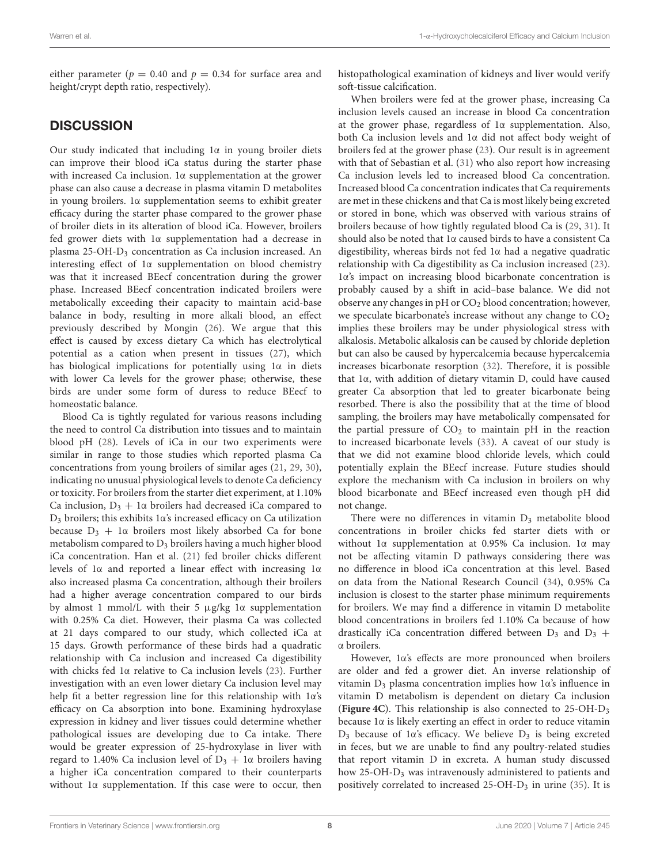either parameter ( $p = 0.40$  and  $p = 0.34$  for surface area and height/crypt depth ratio, respectively).

# **DISCUSSION**

Our study indicated that including 1α in young broiler diets can improve their blood iCa status during the starter phase with increased Ca inclusion. 1α supplementation at the grower phase can also cause a decrease in plasma vitamin D metabolites in young broilers. 1α supplementation seems to exhibit greater efficacy during the starter phase compared to the grower phase of broiler diets in its alteration of blood iCa. However, broilers fed grower diets with 1α supplementation had a decrease in plasma 25-OH-D<sup>3</sup> concentration as Ca inclusion increased. An interesting effect of 1α supplementation on blood chemistry was that it increased BEecf concentration during the grower phase. Increased BEecf concentration indicated broilers were metabolically exceeding their capacity to maintain acid-base balance in body, resulting in more alkali blood, an effect previously described by Mongin [\(26\)](#page-10-22). We argue that this effect is caused by excess dietary Ca which has electrolytical potential as a cation when present in tissues [\(27\)](#page-10-23), which has biological implications for potentially using 1α in diets with lower Ca levels for the grower phase; otherwise, these birds are under some form of duress to reduce BEecf to homeostatic balance.

Blood Ca is tightly regulated for various reasons including the need to control Ca distribution into tissues and to maintain blood pH [\(28\)](#page-10-24). Levels of iCa in our two experiments were similar in range to those studies which reported plasma Ca concentrations from young broilers of similar ages [\(21,](#page-10-17) [29,](#page-10-25) [30\)](#page-10-26), indicating no unusual physiological levels to denote Ca deficiency or toxicity. For broilers from the starter diet experiment, at 1.10% Ca inclusion,  $D_3 + 1\alpha$  broilers had decreased iCa compared to D<sup>3</sup> broilers; this exhibits 1α's increased efficacy on Ca utilization because  $D_3 + 1\alpha$  broilers most likely absorbed Ca for bone metabolism compared to D<sup>3</sup> broilers having a much higher blood iCa concentration. Han et al. [\(21\)](#page-10-17) fed broiler chicks different levels of 1α and reported a linear effect with increasing 1α also increased plasma Ca concentration, although their broilers had a higher average concentration compared to our birds by almost 1 mmol/L with their 5 µg/kg 1α supplementation with 0.25% Ca diet. However, their plasma Ca was collected at 21 days compared to our study, which collected iCa at 15 days. Growth performance of these birds had a quadratic relationship with Ca inclusion and increased Ca digestibility with chicks fed 1α relative to Ca inclusion levels [\(23\)](#page-10-19). Further investigation with an even lower dietary Ca inclusion level may help fit a better regression line for this relationship with 1α's efficacy on Ca absorption into bone. Examining hydroxylase expression in kidney and liver tissues could determine whether pathological issues are developing due to Ca intake. There would be greater expression of 25-hydroxylase in liver with regard to 1.40% Ca inclusion level of  $D_3 + 1\alpha$  broilers having a higher iCa concentration compared to their counterparts without 1α supplementation. If this case were to occur, then histopathological examination of kidneys and liver would verify soft-tissue calcification.

When broilers were fed at the grower phase, increasing Ca inclusion levels caused an increase in blood Ca concentration at the grower phase, regardless of 1α supplementation. Also, both Ca inclusion levels and 1α did not affect body weight of broilers fed at the grower phase [\(23\)](#page-10-19). Our result is in agreement with that of Sebastian et al. [\(31\)](#page-10-27) who also report how increasing Ca inclusion levels led to increased blood Ca concentration. Increased blood Ca concentration indicates that Ca requirements are met in these chickens and that Ca is most likely being excreted or stored in bone, which was observed with various strains of broilers because of how tightly regulated blood Ca is [\(29,](#page-10-25) [31\)](#page-10-27). It should also be noted that 1α caused birds to have a consistent Ca digestibility, whereas birds not fed 1α had a negative quadratic relationship with Ca digestibility as Ca inclusion increased [\(23\)](#page-10-19). 1α's impact on increasing blood bicarbonate concentration is probably caused by a shift in acid–base balance. We did not observe any changes in pH or  $CO<sub>2</sub>$  blood concentration; however, we speculate bicarbonate's increase without any change to  $CO<sub>2</sub>$ implies these broilers may be under physiological stress with alkalosis. Metabolic alkalosis can be caused by chloride depletion but can also be caused by hypercalcemia because hypercalcemia increases bicarbonate resorption [\(32\)](#page-10-28). Therefore, it is possible that 1α, with addition of dietary vitamin D, could have caused greater Ca absorption that led to greater bicarbonate being resorbed. There is also the possibility that at the time of blood sampling, the broilers may have metabolically compensated for the partial pressure of  $CO<sub>2</sub>$  to maintain pH in the reaction to increased bicarbonate levels [\(33\)](#page-10-29). A caveat of our study is that we did not examine blood chloride levels, which could potentially explain the BEecf increase. Future studies should explore the mechanism with Ca inclusion in broilers on why blood bicarbonate and BEecf increased even though pH did not change.

There were no differences in vitamin  $D_3$  metabolite blood concentrations in broiler chicks fed starter diets with or without 1α supplementation at 0.95% Ca inclusion. 1α may not be affecting vitamin D pathways considering there was no difference in blood iCa concentration at this level. Based on data from the National Research Council [\(34\)](#page-10-30), 0.95% Ca inclusion is closest to the starter phase minimum requirements for broilers. We may find a difference in vitamin D metabolite blood concentrations in broilers fed 1.10% Ca because of how drastically iCa concentration differed between  $D_3$  and  $D_3$  + α broilers.

However, 1α's effects are more pronounced when broilers are older and fed a grower diet. An inverse relationship of vitamin D<sup>3</sup> plasma concentration implies how 1α's influence in vitamin D metabolism is dependent on dietary Ca inclusion (**[Figure 4C](#page-6-0)**). This relationship is also connected to 25-OH-D<sup>3</sup> because 1α is likely exerting an effect in order to reduce vitamin  $D_3$  because of 1α's efficacy. We believe  $D_3$  is being excreted in feces, but we are unable to find any poultry-related studies that report vitamin D in excreta. A human study discussed how 25-OH-D<sup>3</sup> was intravenously administered to patients and positively correlated to increased  $25$ -OH- $D_3$  in urine [\(35\)](#page-10-31). It is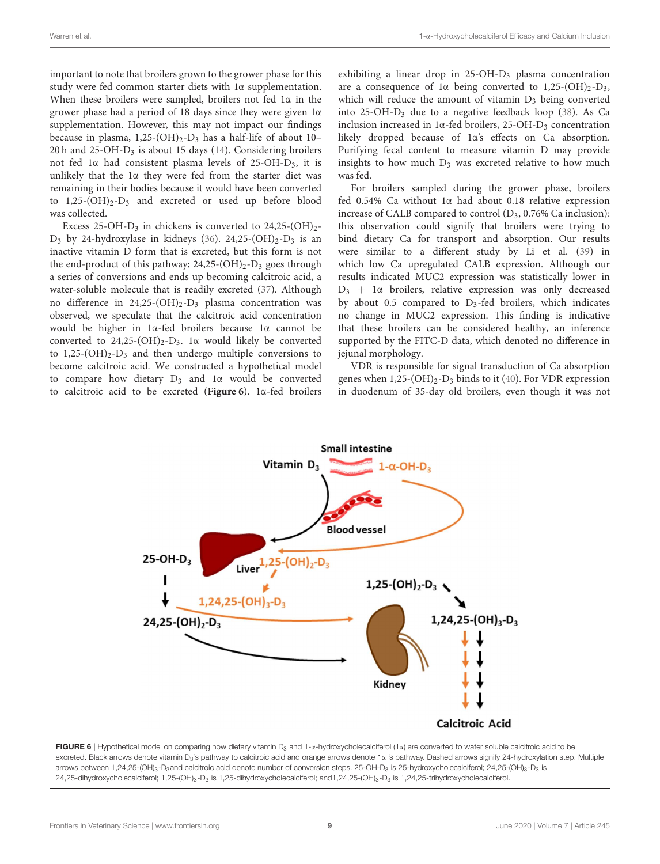important to note that broilers grown to the grower phase for this study were fed common starter diets with 1α supplementation. When these broilers were sampled, broilers not fed  $1\alpha$  in the grower phase had a period of 18 days since they were given 1α supplementation. However, this may not impact our findings because in plasma,  $1,25-(OH)_2-D_3$  has a half-life of about 10– 20 h and 25-OH-D<sup>3</sup> is about 15 days [\(14\)](#page-10-10). Considering broilers not fed 1α had consistent plasma levels of 25-OH-D3, it is unlikely that the 1α they were fed from the starter diet was remaining in their bodies because it would have been converted to  $1,25-(OH)_2-D_3$  and excreted or used up before blood was collected.

Excess 25-OH-D<sub>3</sub> in chickens is converted to  $24,25-(OH)<sub>2</sub>$ - $D_3$  by 24-hydroxylase in kidneys [\(36\)](#page-10-32). 24,25-(OH)<sub>2</sub>-D<sub>3</sub> is an inactive vitamin D form that is excreted, but this form is not the end-product of this pathway;  $24,25-(OH)_2-D_3$  goes through a series of conversions and ends up becoming calcitroic acid, a water-soluble molecule that is readily excreted [\(37\)](#page-10-33). Although no difference in  $24,25-(OH)_2-D_3$  plasma concentration was observed, we speculate that the calcitroic acid concentration would be higher in 1α-fed broilers because 1α cannot be converted to  $24,25-(OH)_2-D_3$ . 1α would likely be converted to  $1,25-(OH)_2-D_3$  and then undergo multiple conversions to become calcitroic acid. We constructed a hypothetical model to compare how dietary  $D_3$  and 1 $\alpha$  would be converted to calcitroic acid to be excreted (**[Figure 6](#page-8-0)**). 1α-fed broilers exhibiting a linear drop in 25-OH-D<sub>3</sub> plasma concentration are a consequence of  $1\alpha$  being converted to  $1,25-(OH)_2-D_3$ , which will reduce the amount of vitamin  $D_3$  being converted into  $25$ -OH-D<sub>3</sub> due to a negative feedback loop  $(38)$ . As Ca inclusion increased in  $1\alpha$ -fed broilers, 25-OH-D<sub>3</sub> concentration likely dropped because of 1α's effects on Ca absorption. Purifying fecal content to measure vitamin D may provide insights to how much  $D_3$  was excreted relative to how much was fed.

For broilers sampled during the grower phase, broilers fed 0.54% Ca without 1α had about 0.18 relative expression increase of CALB compared to control  $(D_3, 0.76\%$  Ca inclusion): this observation could signify that broilers were trying to bind dietary Ca for transport and absorption. Our results were similar to a different study by Li et al. [\(39\)](#page-10-35) in which low Ca upregulated CALB expression. Although our results indicated MUC2 expression was statistically lower in  $D_3$  + 1 $\alpha$  broilers, relative expression was only decreased by about 0.5 compared to  $D_3$ -fed broilers, which indicates no change in MUC2 expression. This finding is indicative that these broilers can be considered healthy, an inference supported by the FITC-D data, which denoted no difference in jejunal morphology.

VDR is responsible for signal transduction of Ca absorption genes when  $1,25-(OH)_2-D_3$  binds to it [\(40\)](#page-10-36). For VDR expression in duodenum of 35-day old broilers, even though it was not



<span id="page-8-0"></span>24,25-dihydroxycholecalciferol; 1,25-(OH)<sub>3</sub>-D<sub>3</sub> is 1,25-dihydroxycholecalciferol; and1,24,25-(OH)<sub>3</sub>-D<sub>3</sub> is 1,24,25-trihydroxycholecalciferol.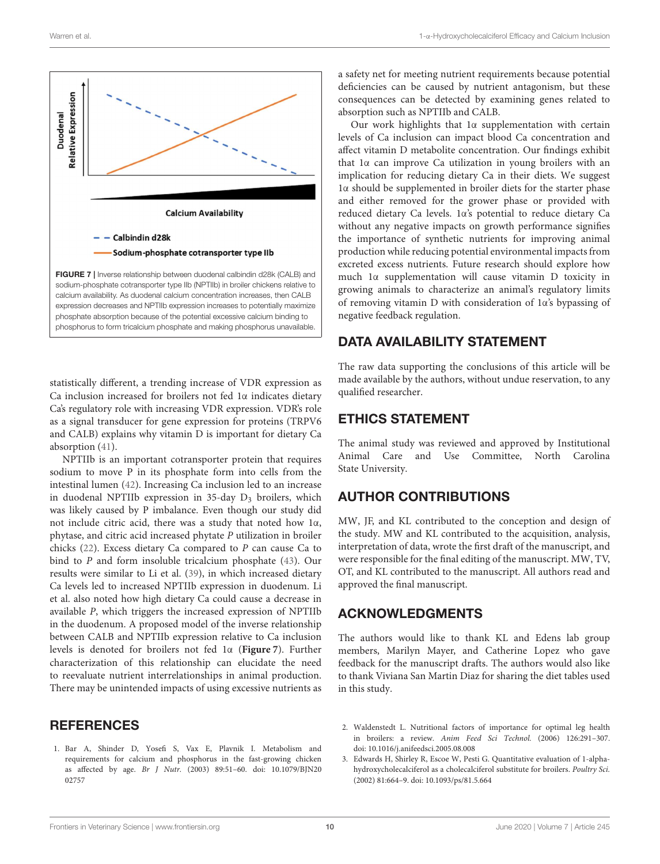

<span id="page-9-3"></span>calcium availability. As duodenal calcium concentration increases, then CALB expression decreases and NPTIIb expression increases to potentially maximize phosphate absorption because of the potential excessive calcium binding to phosphorus to form tricalcium phosphate and making phosphorus unavailable.

statistically different, a trending increase of VDR expression as Ca inclusion increased for broilers not fed 1α indicates dietary Ca's regulatory role with increasing VDR expression. VDR's role as a signal transducer for gene expression for proteins (TRPV6 and CALB) explains why vitamin D is important for dietary Ca absorption [\(41\)](#page-10-37).

NPTIIb is an important cotransporter protein that requires sodium to move P in its phosphate form into cells from the intestinal lumen [\(42\)](#page-10-38). Increasing Ca inclusion led to an increase in duodenal NPTIIb expression in  $35$ -day  $D_3$  broilers, which was likely caused by P imbalance. Even though our study did not include citric acid, there was a study that noted how 1α, phytase, and citric acid increased phytate P utilization in broiler chicks [\(22\)](#page-10-18). Excess dietary Ca compared to P can cause Ca to bind to P and form insoluble tricalcium phosphate [\(43\)](#page-10-39). Our results were similar to Li et al. [\(39\)](#page-10-35), in which increased dietary Ca levels led to increased NPTIIb expression in duodenum. Li et al. also noted how high dietary Ca could cause a decrease in available P, which triggers the increased expression of NPTIIb in the duodenum. A proposed model of the inverse relationship between CALB and NPTIIb expression relative to Ca inclusion levels is denoted for broilers not fed 1α (**[Figure 7](#page-9-3)**). Further characterization of this relationship can elucidate the need to reevaluate nutrient interrelationships in animal production. There may be unintended impacts of using excessive nutrients as

## **REFERENCES**

<span id="page-9-0"></span>1. Bar A, Shinder D, Yosefi S, Vax E, Plavnik I. Metabolism and requirements for calcium and phosphorus in the fast-growing chicken as affected by age. Br J Nutr. [\(2003\) 89:51–60. doi: 10.1079/BJN20](https://doi.org/10.1079/BJN2002757) 02757

a safety net for meeting nutrient requirements because potential deficiencies can be caused by nutrient antagonism, but these consequences can be detected by examining genes related to absorption such as NPTIIb and CALB.

Our work highlights that  $1\alpha$  supplementation with certain levels of Ca inclusion can impact blood Ca concentration and affect vitamin D metabolite concentration. Our findings exhibit that 1α can improve Ca utilization in young broilers with an implication for reducing dietary Ca in their diets. We suggest 1α should be supplemented in broiler diets for the starter phase and either removed for the grower phase or provided with reduced dietary Ca levels. 1α's potential to reduce dietary Ca without any negative impacts on growth performance signifies the importance of synthetic nutrients for improving animal production while reducing potential environmental impacts from excreted excess nutrients. Future research should explore how much 1α supplementation will cause vitamin D toxicity in growing animals to characterize an animal's regulatory limits of removing vitamin D with consideration of 1α's bypassing of negative feedback regulation.

# DATA AVAILABILITY STATEMENT

The raw data supporting the conclusions of this article will be made available by the authors, without undue reservation, to any qualified researcher.

## ETHICS STATEMENT

The animal study was reviewed and approved by Institutional Animal Care and Use Committee, North Carolina State University.

# AUTHOR CONTRIBUTIONS

MW, JF, and KL contributed to the conception and design of the study. MW and KL contributed to the acquisition, analysis, interpretation of data, wrote the first draft of the manuscript, and were responsible for the final editing of the manuscript. MW, TV, OT, and KL contributed to the manuscript. All authors read and approved the final manuscript.

# ACKNOWLEDGMENTS

The authors would like to thank KL and Edens lab group members, Marilyn Mayer, and Catherine Lopez who gave feedback for the manuscript drafts. The authors would also like to thank Viviana San Martin Diaz for sharing the diet tables used in this study.

- <span id="page-9-1"></span>2. Waldenstedt L. Nutritional factors of importance for optimal leg health in broilers: a review. Anim Feed Sci Technol. (2006) 126:291–307. doi: [10.1016/j.anifeedsci.2005.08.008](https://doi.org/10.1016/j.anifeedsci.2005.08.008)
- <span id="page-9-2"></span>3. Edwards H, Shirley R, Escoe W, Pesti G. Quantitative evaluation of 1-alphahydroxycholecalciferol as a cholecalciferol substitute for broilers. Poultry Sci. (2002) 81:664–9. doi: [10.1093/ps/81.5.664](https://doi.org/10.1093/ps/81.5.664)